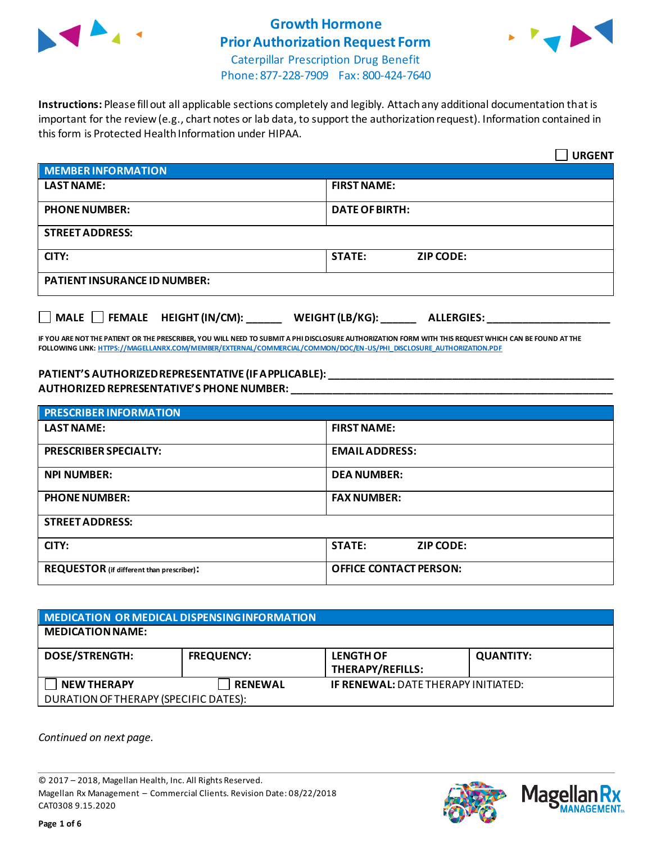

# **Growth Hormone Prior Authorization Request Form**



Caterpillar Prescription Drug Benefit Phone: 877-228-7909 Fax: 800-424-7640

**Instructions:** Please fill out all applicable sections completely and legibly. Attach any additional documentation that is important for the review (e.g., chart notes or lab data, to support the authorization request). Information contained in this form is Protected Health Information under HIPAA.

|                                                  | <b>URGENT</b>                               |  |
|--------------------------------------------------|---------------------------------------------|--|
| MEMBER INFORMATION                               |                                             |  |
| <b>LAST NAME:</b>                                | <b>FIRST NAME:</b>                          |  |
| <b>PHONE NUMBER:</b>                             | <b>DATE OF BIRTH:</b>                       |  |
| <b>STREET ADDRESS:</b>                           |                                             |  |
| CITY:                                            | <b>STATE:</b><br><b>ZIP CODE:</b>           |  |
| <b>PATIENT INSURANCE ID NUMBER:</b>              |                                             |  |
| $\Box$ MALE $\Box$ FEMALE HEIGHT (IN/CM): ______ | WEIGHT (LB/KG): $\_\_$<br><b>ALLERGIES:</b> |  |

**IF YOU ARE NOT THE PATIENT OR THE PRESCRIBER, YOU WILL NEED TO SUBMIT A PHI DISCLOSURE AUTHORIZATION FORM WITH THIS REQUEST WHICH CAN BE FOUND AT THE FOLLOWING LINK[: HTTPS://MAGELLANRX.COM/MEMBER/EXTERNAL/COMMERCIAL/COMMON/DOC/EN-US/PHI\\_DISCLOSURE\\_AUTHORIZATION.PDF](https://magellanrx.com/member/external/commercial/common/doc/en-us/PHI_Disclosure_Authorization.pdf)**

### **PATIENT'S AUTHORIZED REPRESENTATIVE (IF APPLICABLE): \_\_\_\_\_\_\_\_\_\_\_\_\_\_\_\_\_\_\_\_\_\_\_\_\_\_\_\_\_\_\_\_\_\_\_\_\_\_\_\_\_\_\_\_\_\_\_\_\_ AUTHORIZED REPRESENTATIVE'S PHONE NUMBER: \_\_\_\_\_\_\_\_\_\_\_\_\_\_\_\_\_\_\_\_\_\_\_\_\_\_\_\_\_\_\_\_\_\_\_\_\_\_\_\_\_\_\_\_\_\_\_\_\_\_\_\_\_\_\_**

| <b>PRESCRIBER INFORMATION</b>             |                               |  |
|-------------------------------------------|-------------------------------|--|
| <b>LAST NAME:</b>                         | <b>FIRST NAME:</b>            |  |
| <b>PRESCRIBER SPECIALTY:</b>              | <b>EMAIL ADDRESS:</b>         |  |
| <b>NPI NUMBER:</b>                        | <b>DEA NUMBER:</b>            |  |
| <b>PHONE NUMBER:</b>                      | <b>FAX NUMBER:</b>            |  |
| <b>STREET ADDRESS:</b>                    |                               |  |
| CITY:                                     | <b>STATE:</b><br>ZIP CODE:    |  |
| REQUESTOR (if different than prescriber): | <b>OFFICE CONTACT PERSON:</b> |  |

| MEDICATION OR MEDICAL DISPENSING INFORMATION |                   |                                            |                  |  |  |
|----------------------------------------------|-------------------|--------------------------------------------|------------------|--|--|
| <b>MEDICATION NAME:</b>                      |                   |                                            |                  |  |  |
| <b>DOSE/STRENGTH:</b>                        | <b>FREQUENCY:</b> | <b>LENGTH OF</b><br>THERAPY/REFILLS:       | <b>QUANTITY:</b> |  |  |
| <b>NEW THERAPY</b>                           | <b>RENEWAL</b>    | <b>IF RENEWAL: DATE THERAPY INITIATED:</b> |                  |  |  |
| DURATION OF THERAPY (SPECIFIC DATES):        |                   |                                            |                  |  |  |

*Continued on next page.*

© 2017 – 2018, Magellan Health, Inc. All Rights Reserved. Magellan Rx Management – Commercial Clients. Revision Date: 08/22/2018 CAT0308 9.15.2020



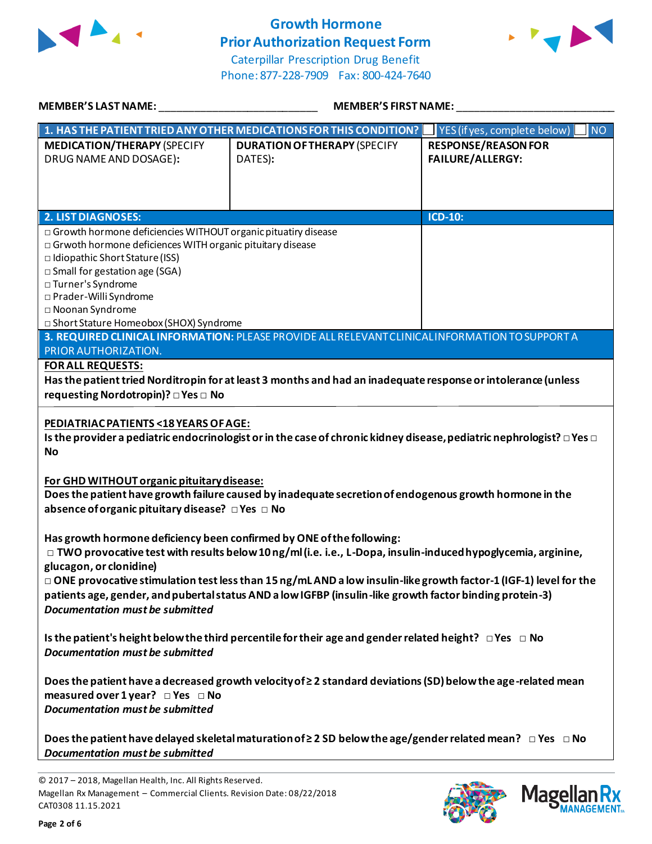

## **Growth Hormone Prior Authorization Request Form**





| <b>MEMBER'S LAST NAME:</b>                                                                                                                                                                                                                                                                                               | <b>MEMBER'S FIRST NAME:</b>                                                                                              |                                                       |  |  |
|--------------------------------------------------------------------------------------------------------------------------------------------------------------------------------------------------------------------------------------------------------------------------------------------------------------------------|--------------------------------------------------------------------------------------------------------------------------|-------------------------------------------------------|--|--|
|                                                                                                                                                                                                                                                                                                                          | 1. HAS THE PATIENT TRIED ANY OTHER MEDICATIONS FOR THIS CONDITION?                                                       | <b>NO</b><br>YES (if yes, complete below)             |  |  |
| <b>MEDICATION/THERAPY (SPECIFY</b><br>DRUG NAME AND DOSAGE):                                                                                                                                                                                                                                                             | <b>DURATION OF THERAPY (SPECIFY</b><br>DATES):                                                                           | <b>RESPONSE/REASON FOR</b><br><b>FAILURE/ALLERGY:</b> |  |  |
| <b>2. LIST DIAGNOSES:</b>                                                                                                                                                                                                                                                                                                |                                                                                                                          | ICD-10:                                               |  |  |
| □ Growth hormone deficiencies WITHOUT organic pituatiry disease<br>□ Grwoth hormone deficiences WITH organic pituitary disease<br>□ Idiopathic Short Stature (ISS)<br>□ Small for gestation age (SGA)<br>□ Turner's Syndrome<br>□ Prader-Willi Syndrome<br>□ Noonan Syndrome<br>□ Short Stature Homeobox (SHOX) Syndrome |                                                                                                                          |                                                       |  |  |
|                                                                                                                                                                                                                                                                                                                          | 3. REQUIRED CLINICAL INFORMATION: PLEASE PROVIDE ALL RELEVANT CLINICAL INFORMATION TO SUPPORT A                          |                                                       |  |  |
| PRIOR AUTHORIZATION.                                                                                                                                                                                                                                                                                                     |                                                                                                                          |                                                       |  |  |
| <b>FOR ALL REQUESTS:</b><br>Has the patient tried Norditropin for at least 3 months and had an inadequate response or intolerance (unless<br>requesting Nordotropin)? □ Yes □ No                                                                                                                                         |                                                                                                                          |                                                       |  |  |
| PEDIATRIAC PATIENTS < 18 YEARS OF AGE:<br>Is the provider a pediatric endocrinologist or in the case of chronic kidney disease, pediatric nephrologist? $\Box$ Yes $\Box$<br><b>No</b>                                                                                                                                   |                                                                                                                          |                                                       |  |  |
| For GHD WITHOUT organic pituitary disease:<br>Does the patient have growth failure caused by inadequate secretion of endogenous growth hormone in the<br>absence of organic pituitary disease? DYes DNo                                                                                                                  |                                                                                                                          |                                                       |  |  |
| Has growth hormone deficiency been confirmed by ONE of the following:<br>$\Box$ TWO provocative test with results below 10 ng/ml (i.e. i.e., L-Dopa, insulin-induced hypoglycemia, arginine,<br>glucagon, or clonidine)                                                                                                  |                                                                                                                          |                                                       |  |  |
| □ ONE provocative stimulation test less than 15 ng/mL AND a low insulin-like growth factor-1 (IGF-1) level for the<br>patients age, gender, and pubertal status AND a low IGFBP (insulin-like growth factor binding protein-3)<br><b>Documentation must be submitted</b>                                                 |                                                                                                                          |                                                       |  |  |
| Is the patient's height below the third percentile for their age and gender related height? $\Box$ Yes $\Box$ No<br><b>Documentation must be submitted</b>                                                                                                                                                               |                                                                                                                          |                                                       |  |  |
| Does the patient have a decreased growth velocity of $\geq 2$ standard deviations (SD) below the age-related mean<br>measured over 1 year? $\Box$ Yes $\Box$ No<br>Documentation must be submitted                                                                                                                       |                                                                                                                          |                                                       |  |  |
| <b>Documentation must be submitted</b>                                                                                                                                                                                                                                                                                   | Does the patient have delayed skeletal maturation of $\geq 2$ SD below the age/gender related mean? $\Box$ Yes $\Box$ No |                                                       |  |  |





<sup>© 2017</sup> – 2018, Magellan Health, Inc. All Rights Reserved. Magellan Rx Management – Commercial Clients. Revision Date: 08/22/2018 CAT0308 11.15.2021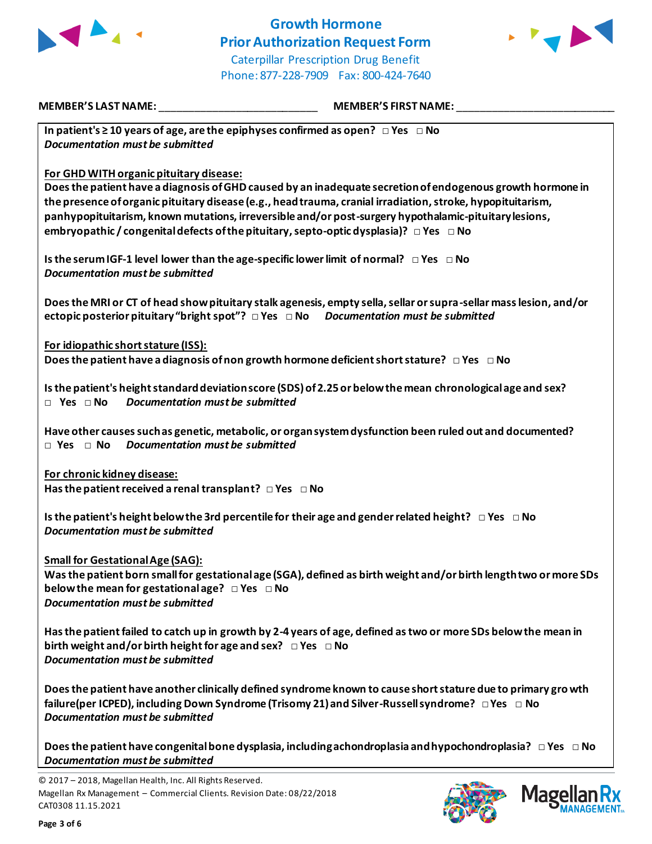

# **Growth Hormone Prior Authorization Request Form** Caterpillar Prescription Drug Benefit Phone: 877-228-7909 Fax: 800-424-7640



**MEMBER'S LAST NAME:** \_\_\_\_\_\_\_\_\_\_\_\_\_\_\_\_\_\_\_\_\_\_\_\_\_\_\_ **MEMBER'S FIRST NAME:** \_\_\_\_\_\_\_\_\_\_\_\_\_\_\_\_\_\_\_\_\_\_\_\_\_\_\_

**In patient's ≥ 10 years of age, are the epiphyses confirmed as open? □ Yes □ No** *Documentation must be submitted*

## **For GHD WITH organic pituitary disease:**

**Does the patient have a diagnosis of GHD caused by an inadequate secretion of endogenous growth hormone in the presence of organic pituitary disease (e.g., head trauma, cranial irradiation, stroke, hypopituitarism, panhypopituitarism, known mutations, irreversible and/or post-surgery hypothalamic-pituitary lesions, embryopathic / congenital defects of the pituitary, septo-optic dysplasia)? □ Yes □ No**

**Is the serum IGF-1 level lower than the age-specific lower limit of normal? □ Yes □ No** *Documentation must be submitted*

**Does the MRI or CT of head show pituitary stalk agenesis, empty sella, sellar or supra-sellar mass lesion, and/or ectopic posterior pituitary "bright spot"? □ Yes □ No** *Documentation must be submitted*

**For idiopathic short stature (ISS): Does the patient have a diagnosis of non growth hormone deficient short stature? □ Yes □ No**

**Is the patient's height standard deviation score (SDS) of 2.25 or below the mean chronological age and sex? □ Yes □ No** *Documentation must be submitted*

**Have other causes such as genetic, metabolic, or organ system dysfunction been ruled out and documented? □ Yes □ No** *Documentation must be submitted*

**For chronic kidney disease: Has the patient received a renal transplant? □ Yes □ No**

**Is the patient's height below the 3rd percentile for their age and gender related height? □ Yes □ No** *Documentation must be submitted*

**Small for Gestational Age (SAG):**

**Was the patient born small for gestational age (SGA), defined as birth weight and/or birth length two or more SDs below the mean for gestational age? □ Yes □ No** *Documentation must be submitted*

**Has the patient failed to catch up in growth by 2-4 years of age, defined as two or more SDs below the mean in birth weight and/or birth height for age and sex? □ Yes □ No** *Documentation must be submitted*

**Does the patient have another clinically defined syndrome known to cause short stature due to primary gro wth failure(per ICPED), including Down Syndrome (Trisomy 21) and Silver-Russell syndrome? □ Yes □ No** *Documentation must be submitted*

**Does the patient have congenital bone dysplasia, including achondroplasia and hypochondroplasia? □ Yes □ No** *Documentation must be submitted*

© 2017 – 2018, Magellan Health, Inc. All Rights Reserved. Magellan Rx Management – Commercial Clients. Revision Date: 08/22/2018 CAT0308 11.15.2021



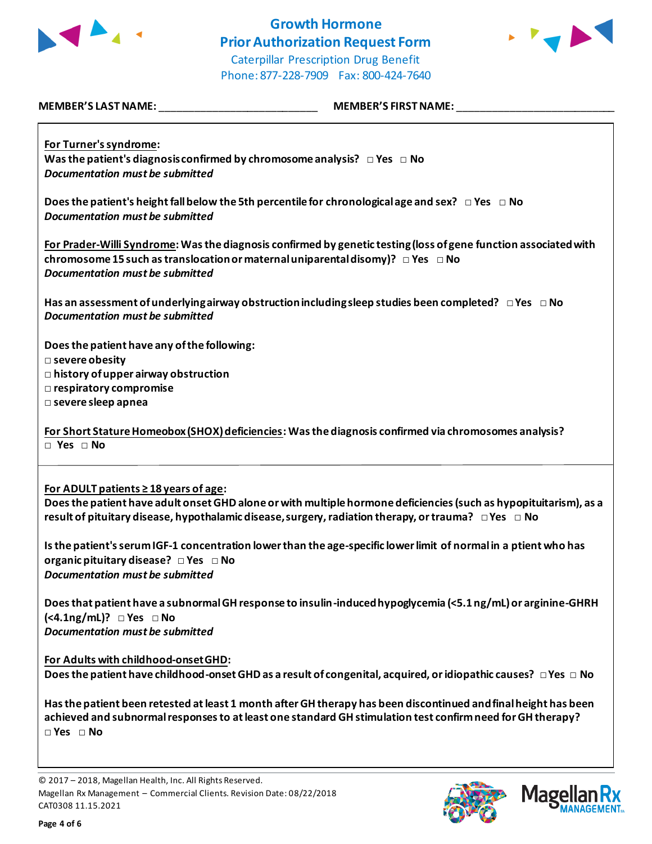

# **Growth Hormone Prior Authorization Request Form** Caterpillar Prescription Drug Benefit



Phone: 877-228-7909 Fax: 800-424-7640

| <b>MEMBER'S LAST NAME:</b> | <b>MEMBER'S FIRST NAME:</b> |
|----------------------------|-----------------------------|

**For Turner's syndrome: Was the patient's diagnosis confirmed by chromosome analysis? □ Yes □ No** *Documentation must be submitted*

**Does the patient's height fall below the 5th percentile for chronological age and sex? □ Yes □ No** *Documentation must be submitted*

**For Prader-Willi Syndrome: Was the diagnosis confirmed by genetic testing (loss of gene function associated with chromosome 15 such as translocation or maternal uniparental disomy)? □ Yes □ No** *Documentation must be submitted*

**Has an assessment of underlying airway obstruction including sleep studies been completed? □ Yes □ No** *Documentation must be submitted*

**Does the patient have any of the following:** 

**□ severe obesity** 

**□ history of upper airway obstruction** 

**□ respiratory compromise** 

**□ severe sleep apnea**

**For Short Stature Homeobox (SHOX) deficiencies: Was the diagnosis confirmed via chromosomes analysis? □ Yes □ No**

**For ADULT patients ≥ 18 years of age:**

**Does the patient have adult onset GHD alone or with multiple hormone deficiencies (such as hypopituitarism), as a result of pituitary disease, hypothalamic disease, surgery, radiation therapy, or trauma? □ Yes □ No**

**Is the patient's serum IGF-1 concentration lower than the age-specific lower limit of normal in a ptient who has organic pituitary disease? □ Yes □ No** *Documentation must be submitted*

**Does that patient have a subnormal GH response to insulin-induced hypoglycemia (<5.1 ng/mL) or arginine-GHRH (<4.1ng/mL)? □ Yes □ No** *Documentation must be submitted*

**For Adults with childhood-onset GHD: Does the patient have childhood-onset GHD as a result of congenital, acquired, or idiopathic causes? □ Yes □ No**

**Has the patient been retested at least 1 month after GH therapy has been discontinued and final height has been achieved and subnormal responses to at least one standard GH stimulation test confirm need for GH therapy? □ Yes □ No**



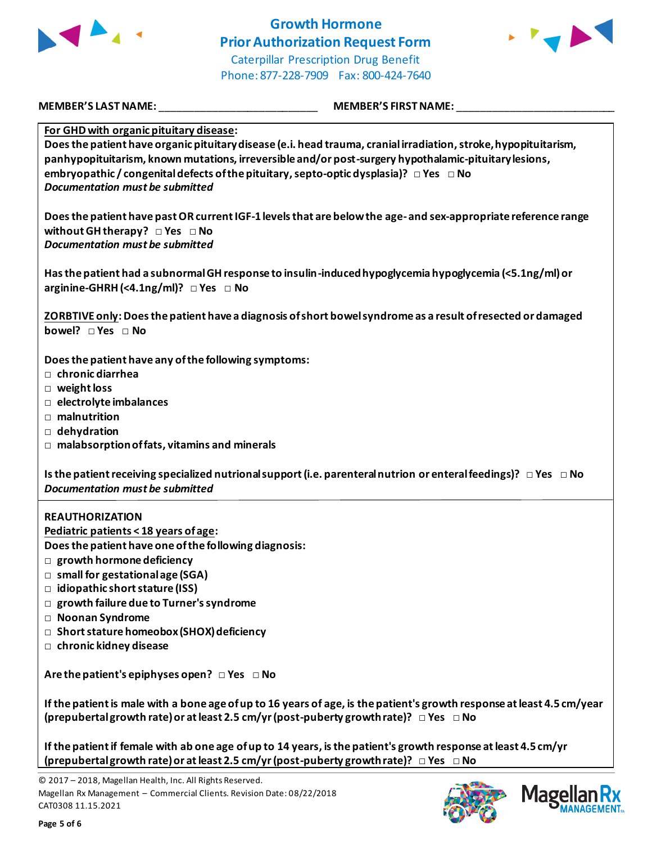

## **Growth Hormone Prior Authorization Request Form** Caterpillar Prescription Drug Benefit Phone: 877-228-7909 Fax: 800-424-7640



**MEMBER'S LAST NAME:** \_\_\_\_\_\_\_\_\_\_\_\_\_\_\_\_\_\_\_\_\_\_\_\_\_\_\_ **MEMBER'S FIRST NAME:** \_\_\_\_\_\_\_\_\_\_\_\_\_\_\_\_\_\_\_\_\_\_\_\_\_\_\_

**For GHD with organic pituitary disease:** 

**Does the patient have organic pituitary disease (e.i. head trauma, cranial irradiation, stroke, hypopituitarism, panhypopituitarism, known mutations, irreversible and/or post-surgery hypothalamic-pituitary lesions, embryopathic / congenital defects of the pituitary, septo-optic dysplasia)? □ Yes □ No** *Documentation must be submitted*

**Does the patient have past OR current IGF-1 levels that are below the age-and sex-appropriate reference range without GH therapy? □ Yes □ No** *Documentation must be submitted*

**Has the patient had a subnormal GH response to insulin-induced hypoglycemia hypoglycemia (<5.1ng/ml) or arginine-GHRH (<4.1ng/ml)? □ Yes □ No**

**ZORBTIVE only: Does the patient have a diagnosis of short bowel syndrome as a result of resected or damaged bowel?** □ Yes □ No

**Does the patient have any of the following symptoms:** 

- **□ chronic diarrhea**
- **□ weight loss**
- **□ electrolyte imbalances**
- **□ malnutrition**
- **□ dehydration**
- **□ malabsorption of fats, vitamins and minerals**

**Is the patient receiving specialized nutrional support (i.e. parenteral nutrion or enteral feedings)? □ Yes □ No** *Documentation must be submitted*

### **REAUTHORIZATION**

**Pediatric patients < 18 years of age:** 

**Does the patient have one of the following diagnosis:**

- **□ growth hormone deficiency**
- **□ small for gestational age (SGA)**
- **□ idiopathic short stature (ISS)**
- **□ growth failure due to Turner's syndrome**
- **□ Noonan Syndrome**
- **□ Short stature homeobox (SHOX) deficiency**
- **□ chronic kidney disease**

**Are the patient's epiphyses open? □ Yes □ No**

**If the patient is male with a bone age of up to 16 years of age, is the patient's growth response at least 4.5 cm/year (prepubertal growth rate) or at least 2.5 cm/yr (post-puberty growth rate)? □ Yes □ No**

**If the patient if female with ab one age of up to 14 years, is the patient's growth response at least 4.5 cm/yr (prepubertal growth rate) or at least 2.5 cm/yr (post-puberty growth rate)? □ Yes □ No**

© 2017 – 2018, Magellan Health, Inc. All Rights Reserved. Magellan Rx Management – Commercial Clients. Revision Date: 08/22/2018 CAT0308 11.15.2021